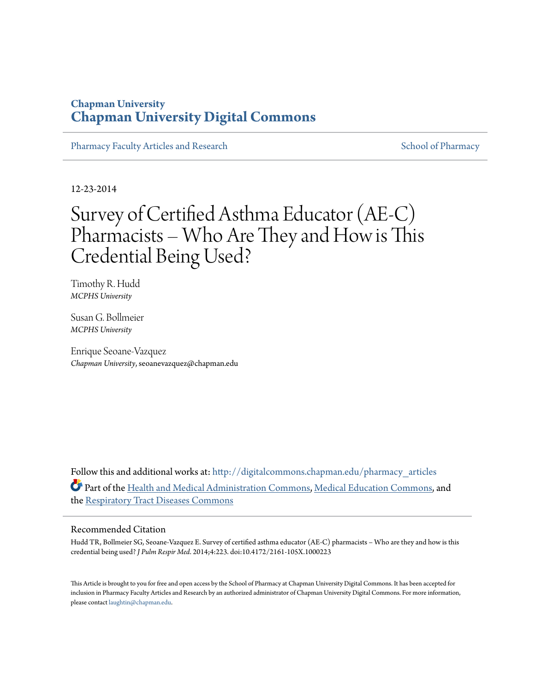### **Chapman University [Chapman University Digital Commons](http://digitalcommons.chapman.edu?utm_source=digitalcommons.chapman.edu%2Fpharmacy_articles%2F484&utm_medium=PDF&utm_campaign=PDFCoverPages)**

[Pharmacy Faculty Articles and Research](http://digitalcommons.chapman.edu/pharmacy_articles?utm_source=digitalcommons.chapman.edu%2Fpharmacy_articles%2F484&utm_medium=PDF&utm_campaign=PDFCoverPages) [School of Pharmacy](http://digitalcommons.chapman.edu/cusp?utm_source=digitalcommons.chapman.edu%2Fpharmacy_articles%2F484&utm_medium=PDF&utm_campaign=PDFCoverPages) School of Pharmacy

12-23-2014

# Survey of Certified Asthma Educator (AE-C) Pharmacists – Who Are They and How is This Credential Being Used?

Timothy R. Hudd *MCPHS University*

Susan G. Bollmeier *MCPHS University*

Enrique Seoane-Vazquez *Chapman University*, seoanevazquez@chapman.edu

Follow this and additional works at: [http://digitalcommons.chapman.edu/pharmacy\\_articles](http://digitalcommons.chapman.edu/pharmacy_articles?utm_source=digitalcommons.chapman.edu%2Fpharmacy_articles%2F484&utm_medium=PDF&utm_campaign=PDFCoverPages) Part of the [Health and Medical Administration Commons](http://network.bepress.com/hgg/discipline/663?utm_source=digitalcommons.chapman.edu%2Fpharmacy_articles%2F484&utm_medium=PDF&utm_campaign=PDFCoverPages), [Medical Education Commons,](http://network.bepress.com/hgg/discipline/1125?utm_source=digitalcommons.chapman.edu%2Fpharmacy_articles%2F484&utm_medium=PDF&utm_campaign=PDFCoverPages) and the [Respiratory Tract Diseases Commons](http://network.bepress.com/hgg/discipline/990?utm_source=digitalcommons.chapman.edu%2Fpharmacy_articles%2F484&utm_medium=PDF&utm_campaign=PDFCoverPages)

#### Recommended Citation

Hudd TR, Bollmeier SG, Seoane-Vazquez E. Survey of certified asthma educator (AE-C) pharmacists – Who are they and how is this credential being used? *J Pulm Respir Med*. 2014;4:223. doi:10.4172/2161-105X.1000223

This Article is brought to you for free and open access by the School of Pharmacy at Chapman University Digital Commons. It has been accepted for inclusion in Pharmacy Faculty Articles and Research by an authorized administrator of Chapman University Digital Commons. For more information, please contact [laughtin@chapman.edu.](mailto:laughtin@chapman.edu)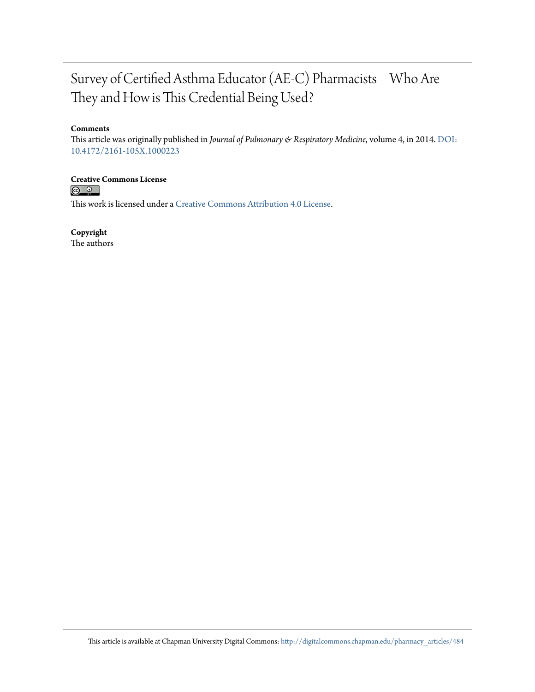## Survey of Certified Asthma Educator (AE-C) Pharmacists – Who Are They and How is This Credential Being Used?

#### **Comments**

This article was originally published in *Journal of Pulmonary & Respiratory Medicine*, volume 4, in 2014. [DOI:](http://dx.doi.org/10.4172/2161-105X.1000223) [10.4172/2161-105X.1000223](http://dx.doi.org/10.4172/2161-105X.1000223)

## **Creative Commons License**<br> **C Q Q**

This work is licensed under a [Creative Commons Attribution 4.0 License.](http://creativecommons.org/licenses/by/4.0/)

**Copyright**

The authors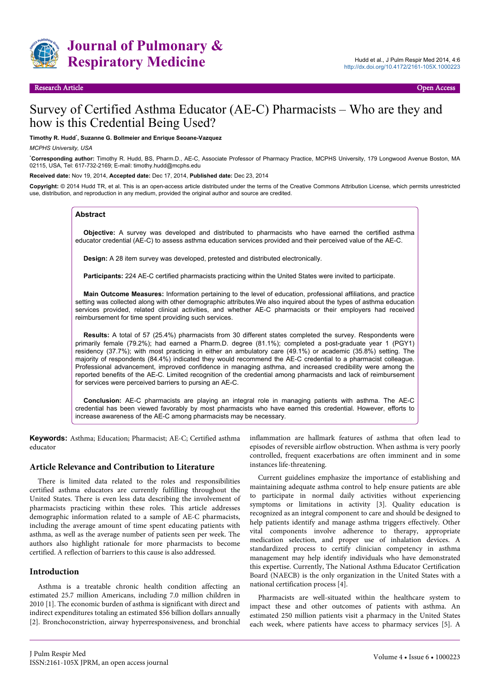

### Survey of Certified Asthma Educator (AE-C) Pharmacists – Who are they and how is this Credential Being Used?

#### **Timothy R. Hudd**\* **, Suzanne G. Bollmeier and Enrique Seoane-Vazquez**

#### *MCPHS University, USA*

\***Corresponding author:** Timothy R. Hudd, BS, Pharm.D., AE-C, Associate Professor of Pharmacy Practice, MCPHS University, 179 Longwood Avenue Boston, MA 02115, USA, Tel: 617-732-2169; E-mail: timothy.hudd@mcphs.edu

**Received date:** Nov 19, 2014, **Accepted date:** Dec 17, 2014, **Published date:** Dec 23, 2014

**Copyright:** © 2014 Hudd TR, et al. This is an open-access article distributed under the terms of the Creative Commons Attribution License, which permits unrestricted use, distribution, and reproduction in any medium, provided the original author and source are credited.

#### **Abstract**

**Objective:** A survey was developed and distributed to pharmacists who have earned the certified asthma educator credential (AE-C) to assess asthma education services provided and their perceived value of the AE-C.

**Design:** A 28 item survey was developed, pretested and distributed electronically.

**Participants:** 224 AE-C certified pharmacists practicing within the United States were invited to participate.

**Main Outcome Measures:** Information pertaining to the level of education, professional affiliations, and practice setting was collected along with other demographic attributes.We also inquired about the types of asthma education services provided, related clinical activities, and whether AE-C pharmacists or their employers had received reimbursement for time spent providing such services.

**Results:** A total of 57 (25.4%) pharmacists from 30 different states completed the survey. Respondents were primarily female (79.2%); had earned a Pharm.D. degree (81.1%); completed a post-graduate year 1 (PGY1) residency (37.7%); with most practicing in either an ambulatory care (49.1%) or academic (35.8%) setting. The majority of respondents (84.4%) indicated they would recommend the AE-C credential to a pharmacist colleague. Professional advancement, improved confidence in managing asthma, and increased credibility were among the reported benefits of the AE-C. Limited recognition of the credential among pharmacists and lack of reimbursement for services were perceived barriers to pursing an AE-C.

**Conclusion:** AE-C pharmacists are playing an integral role in managing patients with asthma. The AE-C credential has been viewed favorably by most pharmacists who have earned this credential. However, efforts to increase awareness of the AE-C among pharmacists may be necessary.

**Keywords:** Asthma; Education; Pharmacist; AE-C; Certified asthma educator

#### **Article Relevance and Contribution to Literature**

There is limited data related to the roles and responsibilities certified asthma educators are currently fulfilling throughout the United States. There is even less data describing the involvement of pharmacists practicing within these roles. This article addresses demographic information related to a sample of AE-C pharmacists, including the average amount of time spent educating patients with asthma, as well as the average number of patients seen per week. The authors also highlight rationale for more pharmacists to become certified. A reflection of barriers to this cause is also addressed.

#### **Introduction**

Asthma is a treatable chronic health condition affecting an estimated 25.7 million Americans, including 7.0 million children in 2010 [1]. The economic burden of asthma is significant with direct and indirect expenditures totaling an estimated \$56 billion dollars annually [2]. Bronchoconstriction, airway hyperresponsiveness, and bronchial inflammation are hallmark features of asthma that often lead to episodes of reversible airflow obstruction. When asthma is very poorly controlled, frequent exacerbations are often imminent and in some instances life-threatening.

Current guidelines emphasize the importance of establishing and maintaining adequate asthma control to help ensure patients are able to participate in normal daily activities without experiencing symptoms or limitations in activity [3]. Quality education is recognized as an integral component to care and should be designed to help patients identify and manage asthma triggers effectively. Other vital components involve adherence to therapy, appropriate medication selection, and proper use of inhalation devices. A standardized process to certify clinician competency in asthma management may help identify individuals who have demonstrated this expertise. Currently, The National Asthma Educator Certification Board (NAECB) is the only organization in the United States with a national certification process [4].

Pharmacists are well-situated within the healthcare system to impact these and other outcomes of patients with asthma. An estimated 250 million patients visit a pharmacy in the United States each week, where patients have access to pharmacy services [5]. A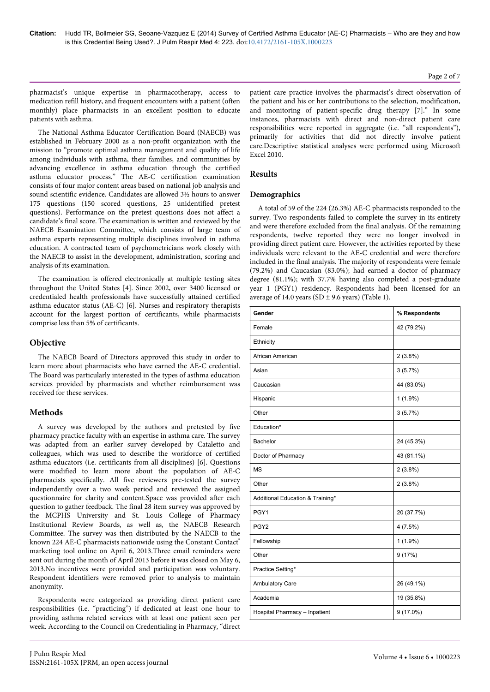#### Page 2 of 7

pharmacist's unique expertise in pharmacotherapy, access to medication refill history, and frequent encounters with a patient (often monthly) place pharmacists in an excellent position to educate patients with asthma.

The National Asthma Educator Certification Board (NAECB) was established in February 2000 as a non-profit organization with the mission to "promote optimal asthma management and quality of life among individuals with asthma, their families, and communities by advancing excellence in asthma education through the certified asthma educator process." The AE-C certification examination consists of four major content areas based on national job analysis and sound scientific evidence. Candidates are allowed 3½ hours to answer 175 questions (150 scored questions, 25 unidentified pretest questions). Performance on the pretest questions does not affect a candidate's final score. The examination is written and reviewed by the NAECB Examination Committee, which consists of large team of asthma experts representing multiple disciplines involved in asthma education. A contracted team of psychometricians work closely with the NAECB to assist in the development, administration, scoring and analysis of its examination.

The examination is offered electronically at multiple testing sites throughout the United States [4]. Since 2002, over 3400 licensed or credentialed health professionals have successfully attained certified asthma educator status (AE-C) [6]. Nurses and respiratory therapists account for the largest portion of certificants, while pharmacists comprise less than 5% of certificants.

#### **Objective**

The NAECB Board of Directors approved this study in order to learn more about pharmacists who have earned the AE-C credential. The Board was particularly interested in the types of asthma education services provided by pharmacists and whether reimbursement was received for these services.

#### **Methods**

A survey was developed by the authors and pretested by five pharmacy practice faculty with an expertise in asthma care. The survey was adapted from an earlier survey developed by Cataletto and colleagues, which was used to describe the workforce of certified asthma educators (i.e. certificants from all disciplines) [6]. Questions were modified to learn more about the population of AE-C pharmacists specifically. All five reviewers pre-tested the survey independently over a two week period and reviewed the assigned questionnaire for clarity and content.Space was provided after each question to gather feedback. The final 28 item survey was approved by the MCPHS University and St. Louis College of Pharmacy Institutional Review Boards, as well as, the NAECB Research Committee. The survey was then distributed by the NAECB to the known 224 AE-C pharmacists nationwide using the Constant Contact® marketing tool online on April 6, 2013.Three email reminders were sent out during the month of April 2013 before it was closed on May 6, 2013.No incentives were provided and participation was voluntary. Respondent identifiers were removed prior to analysis to maintain anonymity.

Respondents were categorized as providing direct patient care responsibilities (i.e. "practicing") if dedicated at least one hour to providing asthma related services with at least one patient seen per week. According to the Council on Credentialing in Pharmacy, "direct patient care practice involves the pharmacist's direct observation of the patient and his or her contributions to the selection, modification, and monitoring of patient-specific drug therapy [7]." In some instances, pharmacists with direct and non-direct patient care responsibilities were reported in aggregate (i.e. "all respondents"), primarily for activities that did not directly involve patient care.Descriptive statistical analyses were performed using Microsoft Excel 2010.

#### **Results**

#### **Demographics**

A total of 59 of the 224 (26.3%) AE-C pharmacists responded to the survey. Two respondents failed to complete the survey in its entirety and were therefore excluded from the final analysis. Of the remaining respondents, twelve reported they were no longer involved in providing direct patient care. However, the activities reported by these individuals were relevant to the AE-C credential and were therefore included in the final analysis. The majority of respondents were female (79.2%) and Caucasian (83.0%); had earned a doctor of pharmacy degree (81.1%); with 37.7% having also completed a post-graduate year 1 (PGY1) residency. Respondents had been licensed for an average of 14.0 years (SD  $\pm$  9.6 years) (Table 1).

| Gender                           | % Respondents |
|----------------------------------|---------------|
| Female                           | 42 (79.2%)    |
| Ethnicity                        |               |
| African American                 | $2(3.8\%)$    |
| Asian                            | 3(5.7%)       |
| Caucasian                        | 44 (83.0%)    |
| Hispanic                         | $1(1.9\%)$    |
| Other                            | 3(5.7%)       |
| Education*                       |               |
| Bachelor                         | 24 (45.3%)    |
| Doctor of Pharmacy               | 43 (81.1%)    |
| <b>MS</b>                        | $2(3.8\%)$    |
| Other                            | $2(3.8\%)$    |
| Additional Education & Training* |               |
| PGY1                             | 20 (37.7%)    |
| PGY <sub>2</sub>                 | 4(7.5%)       |
| Fellowship                       | $1(1.9\%)$    |
| Other                            | 9(17%)        |
| Practice Setting*                |               |
| Ambulatory Care                  | 26 (49.1%)    |
| Academia                         | 19 (35.8%)    |
| Hospital Pharmacy - Inpatient    | $9(17.0\%)$   |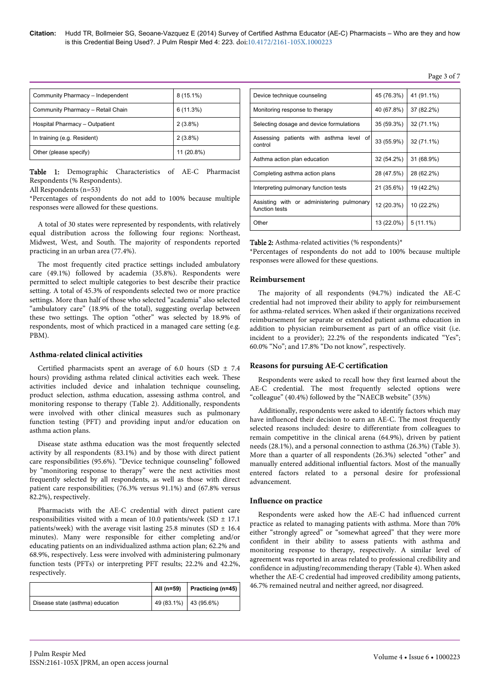| Community Pharmacy - Independent  | $8(15.1\%)$ |
|-----------------------------------|-------------|
| Community Pharmacy - Retail Chain | 6(11.3%)    |
| Hospital Pharmacy - Outpatient    | $2(3.8\%)$  |
| In training (e.g. Resident)       | $2(3.8\%)$  |
| Other (please specify)            | 11 (20.8%)  |

Table 1: Demographic Characteristics of AE-C Pharmacist Respondents (% Respondents).

All Respondents (n=53)

\*Percentages of respondents do not add to 100% because multiple responses were allowed for these questions.

A total of 30 states were represented by respondents, with relatively equal distribution across the following four regions: Northeast, Midwest, West, and South. The majority of respondents reported practicing in an urban area (77.4%).

The most frequently cited practice settings included ambulatory care (49.1%) followed by academia (35.8%). Respondents were permitted to select multiple categories to best describe their practice setting. A total of 45.3% of respondents selected two or more practice settings. More than half of those who selected "academia" also selected "ambulatory care" (18.9% of the total), suggesting overlap between these two settings. The option "other" was selected by 18.9% of respondents, most of which practiced in a managed care setting (e.g. PBM).

#### **Asthma-related clinical activities**

Certified pharmacists spent an average of 6.0 hours (SD  $\pm$  7.4 hours) providing asthma related clinical activities each week. These activities included device and inhalation technique counseling, product selection, asthma education, assessing asthma control, and monitoring response to therapy (Table 2). Additionally, respondents were involved with other clinical measures such as pulmonary function testing (PFT) and providing input and/or education on asthma action plans.

Disease state asthma education was the most frequently selected activity by all respondents (83.1%) and by those with direct patient care responsibilities (95.6%). "Device technique counseling" followed by "monitoring response to therapy" were the next activities most frequently selected by all respondents, as well as those with direct patient care responsibilities; (76.3% versus 91.1%) and (67.8% versus 82.2%), respectively.

Pharmacists with the AE-C credential with direct patient care responsibilities visited with a mean of 10.0 patients/week (SD  $\pm$  17.1 patients/week) with the average visit lasting 25.8 minutes (SD  $\pm$  16.4 minutes). Many were responsible for either completing and/or educating patients on an individualized asthma action plan; 62.2% and 68.9%, respectively. Less were involved with administering pulmonary function tests (PFTs) or interpreting PFT results; 22.2% and 42.2%, respectively.

|                                  | All (n=59)              | <b>Practicing (n=45)</b> |
|----------------------------------|-------------------------|--------------------------|
| Disease state (asthma) education | 49 (83.1%)   43 (95.6%) |                          |

| Device technique counseling                                 | 45 (76.3%) | 41 (91.1%)  |
|-------------------------------------------------------------|------------|-------------|
| Monitoring response to therapy                              | 40 (67.8%) | 37 (82.2%)  |
| Selecting dosage and device formulations                    | 35 (59.3%) | 32 (71.1%)  |
| Assessing patients with asthma level of<br>control          | 33 (55.9%) | 32 (71.1%)  |
| Asthma action plan education                                | 32 (54.2%) | 31 (68.9%)  |
| Completing asthma action plans                              | 28 (47.5%) | 28 (62.2%)  |
| Interpreting pulmonary function tests                       | 21 (35.6%) | 19 (42.2%)  |
| Assisting with or administering pulmonary<br>function tests | 12 (20.3%) | 10 (22.2%)  |
| Other                                                       | 13 (22.0%) | $5(11.1\%)$ |

Table 2: Asthma-related activities (% respondents)\*

\*Percentages of respondents do not add to 100% because multiple responses were allowed for these questions.

#### **Reimbursement**

The majority of all respondents (94.7%) indicated the AE-C credential had not improved their ability to apply for reimbursement for asthma-related services. When asked if their organizations received reimbursement for separate or extended patient asthma education in addition to physician reimbursement as part of an office visit (i.e. incident to a provider); 22.2% of the respondents indicated "Yes"; 60.0% "No"; and 17.8% "Do not know", respectively.

#### **Reasons for pursuing AE-C certification**

Respondents were asked to recall how they first learned about the AE-C credential. The most frequently selected options were "colleague" (40.4%) followed by the "NAECB website" (35%)

Additionally, respondents were asked to identify factors which may have influenced their decision to earn an AE-C. The most frequently selected reasons included: desire to differentiate from colleagues to remain competitive in the clinical arena (64.9%), driven by patient needs (28.1%), and a personal connection to asthma (26.3%) (Table 3). More than a quarter of all respondents (26.3%) selected "other" and manually entered additional influential factors. Most of the manually entered factors related to a personal desire for professional advancement.

#### **Influence on practice**

Respondents were asked how the AE-C had influenced current practice as related to managing patients with asthma. More than 70% either "strongly agreed" or "somewhat agreed" that they were more confident in their ability to assess patients with asthma and monitoring response to therapy, respectively. A similar level of agreement was reported in areas related to professional credibility and confidence in adjusting/recommending therapy (Table 4). When asked whether the AE-C credential had improved credibility among patients, 46.7% remained neutral and neither agreed, nor disagreed.

#### Page 3 of 7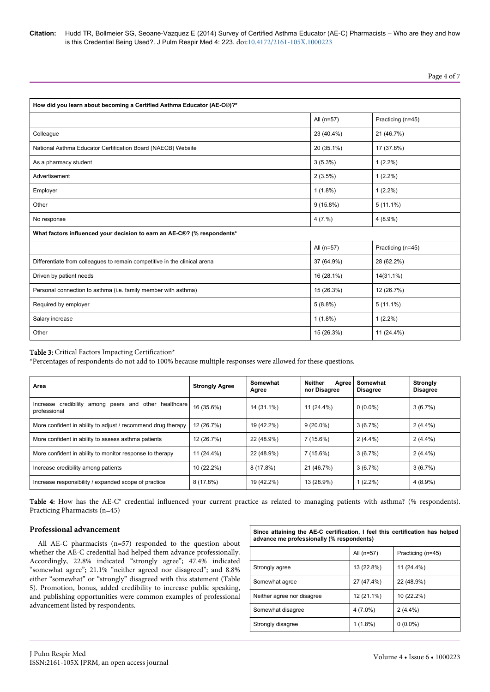**Citation:** Hudd TR, Bollmeier SG, Seoane-Vazquez E (2014) Survey of Certified Asthma Educator (AE-C) Pharmacists – Who are they and how is this Credential Being Used?. J Pulm Respir Med 4: 223. doi[:10.4172/2161-105X.1000223](http://dx.doi.org/10.4172/2161-105X.1000223)

Page 4 of 7

| How did you learn about becoming a Certified Asthma Educator (AE-C®)?*    |             |                   |  |  |
|---------------------------------------------------------------------------|-------------|-------------------|--|--|
|                                                                           | All (n=57)  | Practicing (n=45) |  |  |
| Colleague                                                                 | 23 (40.4%)  | 21 (46.7%)        |  |  |
| National Asthma Educator Certification Board (NAECB) Website              | 20 (35.1%)  | 17 (37.8%)        |  |  |
| As a pharmacy student                                                     | $3(5.3\%)$  | $1(2.2\%)$        |  |  |
| Advertisement                                                             | $2(3.5\%)$  | $1(2.2\%)$        |  |  |
| Employer                                                                  | $1(1.8\%)$  | $1(2.2\%)$        |  |  |
| Other                                                                     | $9(15.8\%)$ | $5(11.1\%)$       |  |  |
| No response                                                               | 4(7.%)      | $4(8.9\%)$        |  |  |
| What factors influenced your decision to earn an AE-C®? (% respondents*   |             |                   |  |  |
|                                                                           | All (n=57)  | Practicing (n=45) |  |  |
| Differentiate from colleagues to remain competitive in the clinical arena | 37 (64.9%)  | 28 (62.2%)        |  |  |
| Driven by patient needs                                                   | 16 (28.1%)  | 14(31.1%)         |  |  |
| Personal connection to asthma (i.e. family member with asthma)            | 15 (26.3%)  | 12 (26.7%)        |  |  |
| Required by employer                                                      | $5(8.8\%)$  | $5(11.1\%)$       |  |  |
| Salary increase                                                           | $1(1.8\%)$  | $1(2.2\%)$        |  |  |
| Other                                                                     | 15 (26.3%)  | 11 (24.4%)        |  |  |

#### Table 3: Critical Factors Impacting Certification\*

\*Percentages of respondents do not add to 100% because multiple responses were allowed for these questions.

| Area                                                                     | <b>Strongly Agree</b> | Somewhat<br>Agree | Neither<br>Agree<br>nor Disagree | Somewhat<br><b>Disagree</b> | <b>Strongly</b><br><b>Disagree</b> |
|--------------------------------------------------------------------------|-----------------------|-------------------|----------------------------------|-----------------------------|------------------------------------|
| Increase credibility among peers and other<br>healthcare<br>professional | 16 (35.6%)            | 14 (31.1%)        | 11 (24.4%)                       | $0(0.0\%)$                  | 3(6.7%)                            |
| More confident in ability to adjust / recommend drug therapy             | 12 (26.7%)            | 19 (42.2%)        | $9(20.0\%)$                      | 3(6.7%)                     | $2(4.4\%)$                         |
| More confident in ability to assess asthma patients                      | 12 (26.7%)            | 22 (48.9%)        | 7 (15.6%)                        | $2(4.4\%)$                  | $2(4.4\%)$                         |
| More confident in ability to monitor response to therapy                 | 11 (24.4%)            | 22 (48.9%)        | 7 (15.6%)                        | 3(6.7%)                     | $2(4.4\%)$                         |
| Increase credibility among patients                                      | 10 (22.2%)            | 8(17.8%)          | 21 (46.7%)                       | 3(6.7%)                     | 3(6.7%)                            |
| Increase responsibility / expanded scope of practice                     | $8(17.8\%)$           | 19 (42.2%)        | 13 (28.9%)                       | $1(2.2\%)$                  | $4(8.9\%)$                         |

Table 4: How has the AE-C® credential influenced your current practice as related to managing patients with asthma? (% respondents). Practicing Pharmacists (n=45)

#### **Professional advancement**

All AE-C pharmacists (n=57) responded to the question about whether the AE-C credential had helped them advance professionally. Accordingly, 22.8% indicated "strongly agree"; 47.4% indicated "somewhat agree"; 21.1% "neither agreed nor disagreed"; and 8.8% either "somewhat" or "strongly" disagreed with this statement (Table 5). Promotion, bonus, added credibility to increase public speaking, and publishing opportunities were common examples of professional advancement listed by respondents.

| Since attaining the AE-C certification, I feel this certification has helped<br>advance me professionally (% respondents) |            |                   |  |
|---------------------------------------------------------------------------------------------------------------------------|------------|-------------------|--|
|                                                                                                                           | All (n=57) | Practicing (n=45) |  |
| Strongly agree                                                                                                            | 13 (22.8%) | 11 (24.4%)        |  |
| Somewhat agree                                                                                                            | 27 (47.4%) | 22 (48.9%)        |  |
| Neither agree nor disagree                                                                                                | 12 (21.1%) | 10 (22.2%)        |  |
| Somewhat disagree                                                                                                         | $4(7.0\%)$ | $2(4.4\%)$        |  |
| Strongly disagree                                                                                                         | $1(1.8\%)$ | $0(0.0\%)$        |  |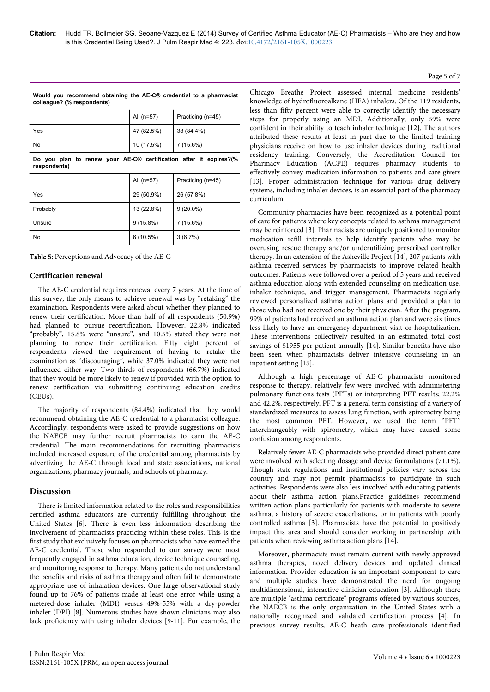| Would you recommend obtaining the AE-C <sup>®</sup> credential to a pharmacist<br>colleague? (% respondents) |             |                   |  |  |
|--------------------------------------------------------------------------------------------------------------|-------------|-------------------|--|--|
|                                                                                                              | All (n=57)  | Practicing (n=45) |  |  |
| Yes                                                                                                          | 47 (82.5%)  | 38 (84.4%)        |  |  |
| No.                                                                                                          | 10 (17.5%)  | 7 (15.6%)         |  |  |
| Do you plan to renew your AE-C® certification after it expires?(%<br>respondents)                            |             |                   |  |  |
|                                                                                                              | All (n=57)  | Practicing (n=45) |  |  |
| Yes                                                                                                          | 29 (50.9%)  | 26 (57.8%)        |  |  |
| Probably                                                                                                     | 13 (22.8%)  | $9(20.0\%)$       |  |  |
| Unsure                                                                                                       | $9(15.8\%)$ | 7 (15.6%)         |  |  |
| No                                                                                                           | 6(10.5%)    | 3(6.7%)           |  |  |

#### **Certification renewal**

The AE-C credential requires renewal every 7 years. At the time of this survey, the only means to achieve renewal was by "retaking" the examination. Respondents were asked about whether they planned to renew their certification. More than half of all respondents (50.9%) had planned to pursue recertification. However, 22.8% indicated "probably", 15.8% were "unsure", and 10.5% stated they were not planning to renew their certification. Fifty eight percent of respondents viewed the requirement of having to retake the examination as "discouraging", while 37.0% indicated they were not influenced either way. Two thirds of respondents (66.7%) indicated that they would be more likely to renew if provided with the option to renew certification via submitting continuing education credits (CEUs).

The majority of respondents (84.4%) indicated that they would recommend obtaining the AE-C credential to a pharmacist colleague. Accordingly, respondents were asked to provide suggestions on how the NAECB may further recruit pharmacists to earn the AE-C credential. The main recommendations for recruiting pharmacists included increased exposure of the credential among pharmacists by advertizing the AE-C through local and state associations, national organizations, pharmacy journals, and schools of pharmacy.

#### **Discussion**

There is limited information related to the roles and responsibilities certified asthma educators are currently fulfilling throughout the United States [6]. There is even less information describing the involvement of pharmacists practicing within these roles. This is the first study that exclusively focuses on pharmacists who have earned the AE-C credential. Those who responded to our survey were most frequently engaged in asthma education, device technique counseling, and monitoring response to therapy. Many patients do not understand the benefits and risks of asthma therapy and often fail to demonstrate appropriate use of inhalation devices. One large observational study found up to 76% of patients made at least one error while using a metered-dose inhaler (MDI) versus 49%-55% with a dry-powder inhaler (DPI) [8]. Numerous studies have shown clinicians may also lack proficiency with using inhaler devices [9-11]. For example, the

Chicago Breathe Project assessed internal medicine residents' knowledge of hydrofluoroalkane (HFA) inhalers. Of the 119 residents, less than fifty percent were able to correctly identify the necessary steps for properly using an MDI. Additionally, only 59% were confident in their ability to teach inhaler technique [12]. The authors attributed these results at least in part due to the limited training physicians receive on how to use inhaler devices during traditional residency training. Conversely, the Accreditation Council for Pharmacy Education (ACPE) requires pharmacy students to effectively convey medication information to patients and care givers [13]. Proper administration technique for various drug delivery systems, including inhaler devices, is an essential part of the pharmacy curriculum.

Community pharmacies have been recognized as a potential point of care for patients where key concepts related to asthma management may be reinforced [3]. Pharmacists are uniquely positioned to monitor medication refill intervals to help identify patients who may be overusing rescue therapy and/or underutilizing prescribed controller therapy. In an extension of the Asheville Project [14], 207 patients with asthma received services by pharmacists to improve related health outcomes. Patients were followed over a period of 5 years and received asthma education along with extended counseling on medication use, inhaler technique, and trigger management. Pharmacists regularly reviewed personalized asthma action plans and provided a plan to those who had not received one by their physician. After the program, 99% of patients had received an asthma action plan and were six times less likely to have an emergency department visit or hospitalization. These interventions collectively resulted in an estimated total cost savings of \$1955 per patient annually [14]. Similar benefits have also been seen when pharmacists deliver intensive counseling in an inpatient setting [15].

Although a high percentage of AE-C pharmacists monitored response to therapy, relatively few were involved with administering pulmonary functions tests (PFTs) or interpreting PFT results; 22.2% and 42.2%, respectively. PFT is a general term consisting of a variety of standardized measures to assess lung function, with spirometry being the most common PFT. However, we used the term "PFT" interchangeably with spirometry, which may have caused some confusion among respondents.

Relatively fewer AE-C pharmacists who provided direct patient care were involved with selecting dosage and device formulations (71.1%). Though state regulations and institutional policies vary across the country and may not permit pharmacists to participate in such activities. Respondents were also less involved with educating patients about their asthma action plans.Practice guidelines recommend written action plans particularly for patients with moderate to severe asthma, a history of severe exacerbations, or in patients with poorly controlled asthma [3]. Pharmacists have the potential to positively impact this area and should consider working in partnership with patients when reviewing asthma action plans [14].

Moreover, pharmacists must remain current with newly approved asthma therapies, novel delivery devices and updated clinical information. Provider education is an important component to care and multiple studies have demonstrated the need for ongoing multidimensional, interactive clinician education [3]. Although there are multiple "asthma certificate" programs offered by various sources, the NAECB is the only organization in the United States with a nationally recognized and validated certification process [4]. In previous survey results, AE-C heath care professionals identified

#### Page 5 of 7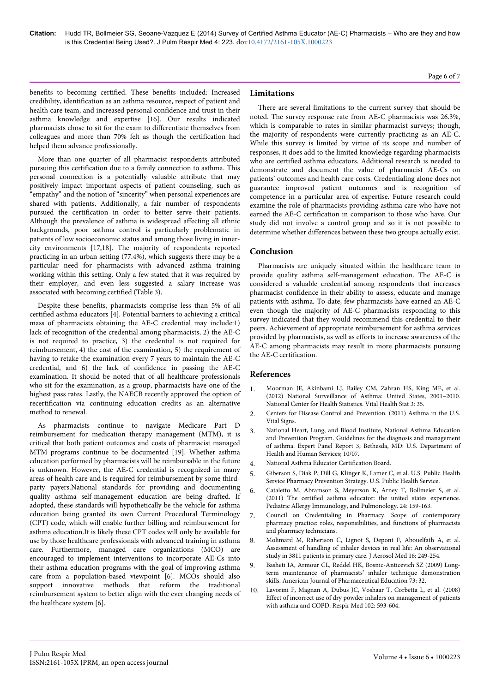benefits to becoming certified. These benefits included: Increased credibility, identification as an asthma resource, respect of patient and health care team, and increased personal confidence and trust in their asthma knowledge and expertise [16]. Our results indicated pharmacists chose to sit for the exam to differentiate themselves from colleagues and more than 70% felt as though the certification had helped them advance professionally.

More than one quarter of all pharmacist respondents attributed pursuing this certification due to a family connection to asthma. This personal connection is a potentially valuable attribute that may positively impact important aspects of patient counseling, such as "empathy" and the notion of "sincerity" when personal experiences are shared with patients. Additionally, a fair number of respondents pursued the certification in order to better serve their patients. Although the prevalence of asthma is widespread affecting all ethnic backgrounds, poor asthma control is particularly problematic in patients of low socioeconomic status and among those living in innercity environments [17,18]. The majority of respondents reported practicing in an urban setting (77.4%), which suggests there may be a particular need for pharmacists with advanced asthma training working within this setting. Only a few stated that it was required by their employer, and even less suggested a salary increase was associated with becoming certified (Table 3).

Despite these benefits, pharmacists comprise less than 5% of all certified asthma educators [4]. Potential barriers to achieving a critical mass of pharmacists obtaining the AE-C credential may include:1) lack of recognition of the credential among pharmacists, 2) the AE-C is not required to practice, 3) the credential is not required for reimbursement, 4) the cost of the examination, 5) the requirement of having to retake the examination every 7 years to maintain the AE-C credential, and 6) the lack of confidence in passing the AE-C examination. It should be noted that of all healthcare professionals who sit for the examination, as a group, pharmacists have one of the highest pass rates. Lastly, the NAECB recently approved the option of recertification via continuing education credits as an alternative method to renewal.

As pharmacists continue to navigate Medicare Part D reimbursement for medication therapy management (MTM), it is critical that both patient outcomes and costs of pharmacist managed MTM programs continue to be documented [19]. Whether asthma education performed by pharmacists will be reimbursable in the future is unknown. However, the AE-C credential is recognized in many areas of health care and is required for reimbursement by some thirdparty payers.National standards for providing and documenting quality asthma self-management education are being drafted. If adopted, these standards will hypothetically be the vehicle for asthma education being granted its own Current Procedural Terminology (CPT) code, which will enable further billing and reimbursement for asthma education.It is likely these CPT codes will only be available for use by those healthcare professionals with advanced training in asthma care. Furthermore, managed care organizations (MCO) are encouraged to implement interventions to incorporate AE-Cs into their asthma education programs with the goal of improving asthma care from a population-based viewpoint [6]. MCOs should also support innovative methods that reform the traditional reimbursement system to better align with the ever changing needs of the healthcare system [6].

#### **Limitations**

There are several limitations to the current survey that should be noted. The survey response rate from AE-C pharmacists was 26.3%, which is comparable to rates in similar pharmacist surveys; though, the majority of respondents were currently practicing as an AE-C. While this survey is limited by virtue of its scope and number of responses, it does add to the limited knowledge regarding pharmacists who are certified asthma educators. Additional research is needed to demonstrate and document the value of pharmacist AE-Cs on patients' outcomes and health care costs. Credentialing alone does not guarantee improved patient outcomes and is recognition of competence in a particular area of expertise. Future research could examine the role of pharmacists providing asthma care who have not earned the AE-C certification in comparison to those who have. Our study did not involve a control group and so it is not possible to determine whether differences between these two groups actually exist.

#### **Conclusion**

Pharmacists are uniquely situated within the healthcare team to provide quality asthma self-management education. The AE-C is considered a valuable credential among respondents that increases pharmacist confidence in their ability to assess, educate and manage patients with asthma. To date, few pharmacists have earned an AE-C even though the majority of AE-C pharmacists responding to this survey indicated that they would recommend this credential to their peers. Achievement of appropriate reimbursement for asthma services provided by pharmacists, as well as efforts to increase awareness of the AE-C among pharmacists may result in more pharmacists pursuing the AE-C certification.

#### **References**

- 1. [Moorman JE, Akinbami LJ, Bailey CM, Zahran HS, King ME, et al.](http://www.google.co.in/url?sa=t&rct=j&q=&esrc=s&source=web&cd=1&ved=0CCEQFjAA&url=http%3A%2F%2Fwww.cdc.gov%2Fnchs%2Fdata%2Fseries%2Fsr_03%2Fsr03_035.pdf&ei=u1aaVIa_Jo6KuwTVx4DwCQ&usg=AFQjCNGKzMpcf7TunD2LLodITnCjFpSbPA&sig2=O-OOFcNqasjg02i4jmrCHw&bvm=bv.82001339,d.c2E&cad=rja) [\(2012\) National Surveillance of Asthma: United States, 2001–2010.](http://www.google.co.in/url?sa=t&rct=j&q=&esrc=s&source=web&cd=1&ved=0CCEQFjAA&url=http%3A%2F%2Fwww.cdc.gov%2Fnchs%2Fdata%2Fseries%2Fsr_03%2Fsr03_035.pdf&ei=u1aaVIa_Jo6KuwTVx4DwCQ&usg=AFQjCNGKzMpcf7TunD2LLodITnCjFpSbPA&sig2=O-OOFcNqasjg02i4jmrCHw&bvm=bv.82001339,d.c2E&cad=rja) [National Center for Health Statistics. Vital Health Stat 3: 35.](http://www.google.co.in/url?sa=t&rct=j&q=&esrc=s&source=web&cd=1&ved=0CCEQFjAA&url=http%3A%2F%2Fwww.cdc.gov%2Fnchs%2Fdata%2Fseries%2Fsr_03%2Fsr03_035.pdf&ei=u1aaVIa_Jo6KuwTVx4DwCQ&usg=AFQjCNGKzMpcf7TunD2LLodITnCjFpSbPA&sig2=O-OOFcNqasjg02i4jmrCHw&bvm=bv.82001339,d.c2E&cad=rja)
- 2. [Centers for Disease Control and Prevention. \(2011\) Asthma in the U.S.](http://www.cdc.gov/vitalsigns/asthma/) [Vital Signs.](http://www.cdc.gov/vitalsigns/asthma/)
- 3. [National Heart, Lung, and Blood Institute, National Asthma Education](http://www.nhlbi.nih.gov/guidelines/asthma/asthsumm.pdf) [and Prevention Program. Guidelines for the diagnosis and management](http://www.nhlbi.nih.gov/guidelines/asthma/asthsumm.pdf) [of asthma. Expert Panel Report 3, Bethesda, MD: U.S. Department of](http://www.nhlbi.nih.gov/guidelines/asthma/asthsumm.pdf) [Health and Human Services; 10/07.](http://www.nhlbi.nih.gov/guidelines/asthma/asthsumm.pdf)
- 4. [National Asthma Educator Certification Board.](http://www.naecb.org)
- 5. [Giberson S, Diak P, Dill G, Klinger K, Lamer C, et al. U.S. Public Health](http://www.usphs.gov/corpslinks/pharmacy/documents/PreventionStrategy.pdf) [Service Pharmacy Prevention Strategy. U.S. Public Health Service.](http://www.usphs.gov/corpslinks/pharmacy/documents/PreventionStrategy.pdf)
- 6. [Cataletto M, Abramson S, Meyerson K, Arney T, Bollmeier S, et al.](http://online.liebertpub.com/doi/abs/10.1089/ped.2011.0083) [\(2011\) The certified asthma educator: the united states experience.](http://online.liebertpub.com/doi/abs/10.1089/ped.2011.0083) [Pediatric Allergy Immunology, and Pulmonology. 24: 159-163.](http://online.liebertpub.com/doi/abs/10.1089/ped.2011.0083)
- 7. [Council on Credentialing in Pharmacy. Scope of contemporary](http://www.pharmacycredentialing.org/Contemporary_Pharmacy_Practice.pdf) [pharmacy practice: roles, responsibilities, and functions of pharmacists](http://www.pharmacycredentialing.org/Contemporary_Pharmacy_Practice.pdf) [and pharmacy technicians.](http://www.pharmacycredentialing.org/Contemporary_Pharmacy_Practice.pdf)
- 8. [Molimard M, Raherison C, Lignot S, Depont F, Abouelfath A, et al.](http://online.liebertpub.com/doi/abs/10.1089%2F089426803769017613) [Assessment of handling of inhaler devices in real life: An observational](http://online.liebertpub.com/doi/abs/10.1089%2F089426803769017613) [study in 3811 patients in primary care. J Aerosol Med 16: 249-254.](http://online.liebertpub.com/doi/abs/10.1089%2F089426803769017613)
- 9. [Basheti IA, Armour CL, Reddel HK, Bosnic-Anticevich SZ \(2009\) Long](http://connection.ebscohost.com/c/articles/39976824/long-term-maintenance-pharmacists-inhaler-technique-demonstration-skills)[term maintenance of pharmacists' inhaler technique demonstration](http://connection.ebscohost.com/c/articles/39976824/long-term-maintenance-pharmacists-inhaler-technique-demonstration-skills) [skills. American Journal of Pharmaceutical Education 73: 32.](http://connection.ebscohost.com/c/articles/39976824/long-term-maintenance-pharmacists-inhaler-technique-demonstration-skills)
- 10. [Lavorini F, Magnan A, Dubus JC, Voshaar T, Corbetta L, et al. \(2008\)](http://www.resmedjournal.com/article/S0954-6111%2807%2900447-7/abstract) [Effect of incorrect use of dry powder inhalers on management of patients](http://www.resmedjournal.com/article/S0954-6111%2807%2900447-7/abstract) [with asthma and COPD. Respir Med 102: 593-604.](http://www.resmedjournal.com/article/S0954-6111%2807%2900447-7/abstract)